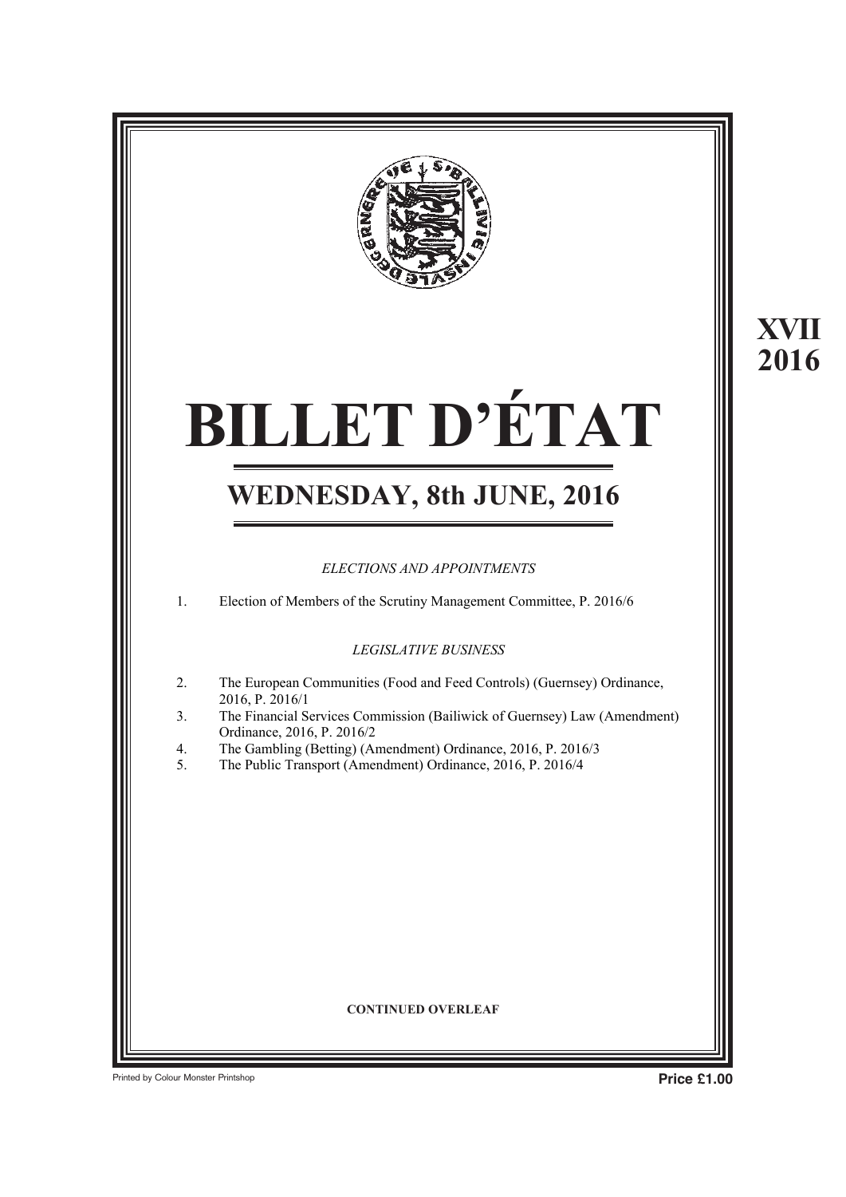

## **BILLET D'ÉTAT BILLET D'ÉTAT XVIII**

## **WEDNESDAY, 8th JUNE, 2016 WEDNESDAY, 8th JUNE, 2016**

#### *ELECTIONS AND APPOINTMENTS*

1. Election of Members of the Scrutiny Management Committee, P. 2016/6

*LEGISLATIVE BUSINESS*

- 2. The European Communities (Food and Feed Controls) (Guernsey) Ordinance, 2016, P. 2016/1
- 3. The Financial Services Commission (Bailiwick of Guernsey) Law (Amendment) Ordinance, 2016, P. 2016/2
- 4. The Gambling (Betting) (Amendment) Ordinance, 2016, P. 2016/3
- 5. The Public Transport (Amendment) Ordinance, 2016, P. 2016/4

#### **CONTINUED OVERLEAF**

**Printed by Colour Monster Printshop Price £1.00** 

The Trade Marks (Fees) Regulations, 2016 The Trade Marks (Fees) (No. 2) Regulations, 2016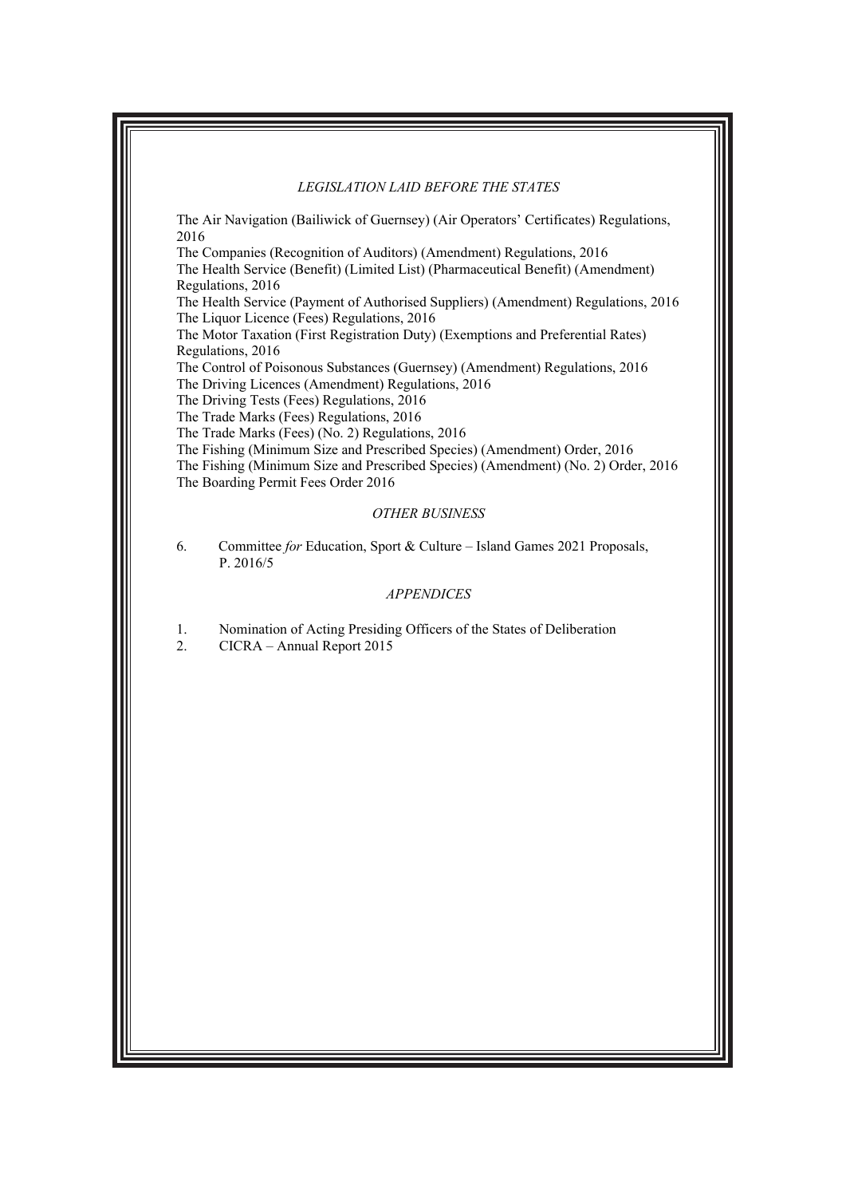#### *LEGISLATION LAID BEFORE THE STATES*

 $\mathcal{A} = \mathcal{A} \cup \mathcal{A}$  (Betting) (Amendment)  $\mathcal{A} = \mathcal{A} \cup \mathcal{A}$  ordinance, 2016/31

The Air Navigation (Bailiwick of Guernsey) (Air Operators' Certificates) Regulations, 2016

The Companies (Recognition of Auditors) (Amendment) Regulations, 2016 The Health Service (Benefit) (Limited List) (Pharmaceutical Benefit) (Amendment) Regulations, 2016

The Health Service (Payment of Authorised Suppliers) (Amendment) Regulations, 2016 The Liquor Licence (Fees) Regulations, 2016

The Motor Taxation (First Registration Duty) (Exemptions and Preferential Rates) Regulations, 2016

The Control of Poisonous Substances (Guernsey) (Amendment) Regulations, 2016

The Driving Licences (Amendment) Regulations, 2016

The Driving Tests (Fees) Regulations, 2016

The Trade Marks (Fees) Regulations, 2016

Ordinance, 2016, P. 2016/2

The Trade Marks (Fees) (No. 2) Regulations, 2016

The Fishing (Minimum Size and Prescribed Species) (Amendment) Order, 2016

The Fishing (Minimum Size and Prescribed Species) (Amendment) (No. 2) Order, 2016 The Boarding Permit Fees Order 2016

#### *OTHER BUSINESS*

6. Committee *for* Education, Sport & Culture – Island Games 2021 Proposals, P. 2016/5

#### *APPENDICES*

1. Nomination of Acting Presiding Officers of the States of Deliberation<br>2. CICRA – Annual Report 2015

2. CICRA – Annual Report 2015